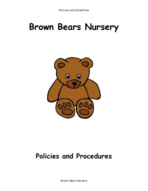# **Brown Bears Nursery**



## **Policies and Procedures**

Brown Bears Nursery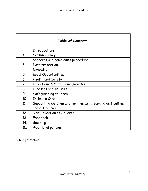| Table of Contents: |                                                             |
|--------------------|-------------------------------------------------------------|
|                    | <b>Introductions</b>                                        |
| 1.                 | Settling Policy                                             |
| 2.                 | Concerns and complaints procedure                           |
| 3.                 | Data protection                                             |
| 4.                 | Diversity                                                   |
| 5.                 | <b>Equal Opportunities</b>                                  |
| 6.                 | Health and Safety                                           |
| 7.                 | <b>Infectious &amp; Contagious Diseases</b>                 |
| 8.                 | <b>Illnesses and Injuries</b>                               |
| 9.                 | Safeguarding children                                       |
| 10 <sub>1</sub>    | <b>Intimate Care</b>                                        |
| 11.                | Supporting children and families with learning difficulties |
|                    | and disabilities                                            |
| 12.                | Non-Collection of Children                                  |
| 13.                | Feedback                                                    |
| 14.                | Smoking                                                     |
| 15.                | <b>Additional policies</b>                                  |

Child protection

٦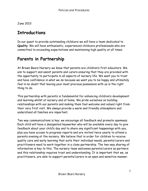June 2013

### **Introductions**

In our quest to provide outstanding childcare we will have a team dedicated to **Quality**. We will have enthusiastic, experienced childcare professionals who are committed to exceeding expectations and maintaining high quality at all times.

### **Parents in Partnership**

At Brown Bears Nursery we know that parents are children's first educators. We aim to support and assist parents and carers ensuring that they are provided with the opportunity to participate in all aspects of nursery life. We want you to trust and have confidence in what we do because we want you to be happy and ultimately feel in no doubt that leaving your most precious possession with us is the right thing to do.

This partnership with parents is fundamental for enhancing children's development and learning whilst at nursery and at home. We pride ourselves on building relationships with our parents and making them feel welcome and valued right from their very first visit. We always provide a warm and friendly atmosphere and understand all families are important.

Two way communications is key; we encourage all feedback and promote openness. Each child will have a designated keyworker who will be available every day to give feedback about your child's day and to share any significant happenings with you, plus you have access to progress reports and are invited twice yearly to attend a parents evening at the nursery. We believe that in order for children to receive quality care and early learning that suits their individual needs, parents/carers and practitioners need to work together in a close partnership. The two-way sharing of information is key to this. The nursery team welcomes parents/carers as partners and this relationship requires trust and understanding. It is important that we, as practitioners, are able to support parents/carers in an open and sensitive manner.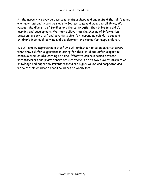At the nursery we provide a welcoming atmosphere and understand that all families are important and should be made to feel welcome and valued at all times. We respect the diversity of families and the contribution they bring to a child's learning and development. We truly believe that the sharing of information between nursery staff and parents is vital for responding quickly to support children's individual learning and development and makes for happy children.

We will employ approachable staff who will endeavour to guide parents/carers when they ask for suggestions in caring for their child and offer support to continue their child's learning at home. Effective communication between parents/carers and practitioners ensures there is a two-way flow of information, knowledge and expertise. Parents/carers are highly valued and respected and without them children's needs could not be wholly met.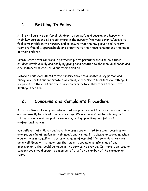### **1. Settling In Policy**

At Brown Bears we aim for all children to feel safe and secure, and happy with their key person and all practitioners in the nursery. We want parents/carers to feel comfortable in the nursery and to ensure that the key person and nursery team are friendly, approachable and attentive to their requirements and the needs of their children.

Brown Bears staff will work in partnership with parents/carers to help their children settle quickly and easily by giving consideration to the individual needs and circumstances of each child and their families.

Before a child even starts at the nursery they are allocated a key person and buddy key person and we create a welcoming environment to ensure everything is prepared for the child and their parent/carer before they attend their first settling in session.

### **2. Concerns and Complaints Procedure**

At Brown Bears Nursery we believe that complaints should be made constructively and can usually be solved at an early stage. We are committed to listening and taking concerns and complaints seriously, acting upon them in a fair and professional manner.

We believe that children and parents/carers are entitled to expect courtesy and prompt, careful attention to their needs and wishes. It is always encouraging when a parent/carer compliments us or a member of our staff for something we have done well. Equally it is important that parents are able to inform us of any improvements that could be made to the service we provide. If there is an issue or concern you should speak to a member of staff or a member of the management team.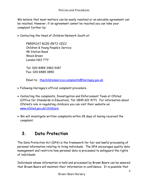We believe that most matters can be easily resolved or an amicable agreement can be reached. However, if an agreement cannot be reached you can take your complaint further by:

• Contacting the Head of Children Network South at:

FREEPOST RCZE-ERTJ-CEZJ Children & Young People's Service 48 Station Road Wood Green London N22 7TY

Tel: 020 8489 3481/3187 Fax: 020 8489 3850

Email to: [thechildrenservice.complaints@haringey.gov.uk](mailto:thechildrenservice.complaints@haringey.gov.uk)

- Following Haringey's official complaint procedure.
- Contacting the complaints, Investigation and Enforcement Team at Ofsted (Office for Standards in Education). Tel: 0845 601 4771. For information about Ofsted's role in regulating childcare you can visit their website on: [www.ofsted.gov.uk/childcare](http://www.ofsted.gov.uk/childcare)
- We will investigate written complaints within 28 days of having received the complaint.

### **3. Data Protection**

The Data Protection Act (DPA) is the framework for fair and lawful processing of personal information relating to living individuals. The DPA encourages quality data management and restricts how personal data is processed to safeguard the rights of individuals.

Individuals whose information is held and processed by Brown Bears can be assured that Brown Bears will maintain their information in confidence. It is possible that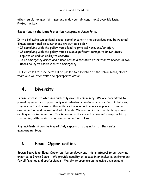other legislation may (at times and under certain conditions) override Data Protection Law.

Exceptions to the Data Protection Acceptable Usage Policy

In the following exceptional cases, compliance with the directives may be relaxed. These exceptional circumstances are outlined below:

- If complying with the policy would lead to physical harm and/or injury
- If complying with the policy would cause significant damage to Brown Bears reputation and/or ability to operate
- If an emergency arises and a user has no alternative other than to breach Brown Bears policy to assist with the emergency.

In such cases, the incident will be passed to a member of the senior management team who will then take the appropriate action.

### **4. Diversity**

Brown Bears is situated in a culturally diverse community. We are committed to providing equality of opportunity and anti-discriminatory practice for all children, families and centre users. Brown Bears has a zero tolerance approach to racial discrimination and harassment at all levels. We are committed to challenging and dealing with discrimination. The Manager is the named person with responsibility for dealing with incidents and recording action taken.

Any incidents should be immediately reported to a member of the senior management team.

### **5. Equal Opportunities**

Brown Bears is an Equal Opportunities employer and this is integral to our working practice in Brown Bears. We provide equality of access in an inclusive environment for all families and professionals. We aim to promote an inclusive environment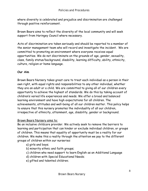where diversity is celebrated and prejudice and discrimination are challenged through positive reinforcement.

Brown Bears aims to reflect the diversity of the local community and will seek support from Haringey Council where necessary.

Acts of discrimination are taken seriously and should be reported to a member of the senior management team who will record and investigate the incident. We are committed to promoting an environment where everyone receives equal opportunities. We do not discriminate on the grounds of age, gender, sexuality, class, family status/background, disability, learning difficulty, ability, ethnicity, culture, religion or home language.

#### **Our Aim**

Brown Bears Nursery takes great care to treat each individual as a person in their own right, with equal rights and responsibilities to any other individual, whether they are an adult or a child. We are committed to giving all of our children every opportunity to achieve the highest of standards. We do this by taking account of children's varied life experiences and needs. We offer a broad and balanced learning environment and have high expectations for all children. The achievements, attitudes and well-being of all our children matter. This policy helps to ensure that this nursery promotes the individuality of all our children, irrespective of ethnicity, attainment, age, disability, gender or background.

#### Brown Bears Nursery aims to:

Be an inclusive childcare provider. We actively seek to remove the barriers to learning and participation that can hinder or exclude individual children, or groups of children. This means that equality of opportunity must be a reality for our children. We make this a reality through the attention we pay to the different groups of children within our nurseries:

a) girls and boys;

- b) minority ethnic and faith groups;
- c) children who need support to learn English as an Additional Language
- d) children with Special Educational Needs;
- e) gifted and talented children;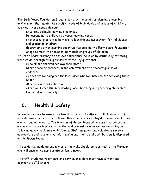The Early Years Foundation Stage is our starting point for planning a learning environment that meets the specific needs of individuals and groups of children. We meet these needs through:

a) setting suitable learning challenges;

b) responding to children's diverse learning needs;

c) overcoming potential barriers to learning and assessment for individuals and groups of children;

d) providing other learning opportunities outside the Early Years Foundation Stage to meet the needs of individuals or groups of children.

At Brown Bears Nursery we achieve educational inclusion by continually reviewing what we do, through asking ourselves these key questions:

a) do all our children achieve their best?

b) are there differences in the achievement of different groups of children?

c) what are we doing for those children who we know are not achieving their best?

d) are our actions effective?

e) are we successful in promoting racial harmony and preparing children to live in a diverse society?

### **6. Health & Safety**

Brown Bears aims to ensure the health, safety and welfare of all children, staff, parents, users and visitors to Brown Bears and ensure all legislation and regulations are met and adhered to. The Manager of Brown Bears will ensure that adequate arrangements are in place to monitor and prevent risks as well as recording and following up any accidents or incidents. Staff members and volunteers receive appropriate and regular first aid training and their details will be clearly displayed within Brown Bears.

All accidents, incidents and any potential risks should be reported to the Manager who will ensure the appropriate action is taken.

All staff, students, volunteers and service providers must have current and appropriate CRB checks.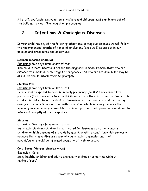All staff, professionals, volunteers, visitors and children must sign in and out of the building to meet fire regulation procedures

### **7. Infectious & Contagious Diseases**

If your child has any of the following infections/contagious diseases we will follow the recommended lengths of times of exclusions (once well) as set out in our policies and procedures and as advised:

#### **German Measles (rubella)**

Exclusion: five days from onset of rash.

The child is most infectious before the diagnosis is made. Female staff who are exposed to rubella in early stages of pregnancy and who are not immunised may be at risk so should inform their GP promptly.

#### **Chicken Pox**

Exclusion: five days from onset of rash.

Female staff exposed to disease in early pregnancy (first 20 weeks) and late pregnancy (last 3 weeks before birth) should inform their GP promptly. Vulnerable children (children being treated for leukaemia or other cancers, children on high dosages of steroids by mouth or with a condition which seriously reduces their immunity) are especially vulnerable to chicken pox and their parent/carer should be informed promptly of their exposure.

#### **Measles**

Exclusion: five days from onset of rash.

Vulnerable children (children being treated for leukaemia or other cancers, children on high dosages of steroids by mouth or with a condition which seriously reduces their immunity) are especially vulnerable to measles and their parent/carer should be informed promptly of their exposure.

#### **Cold Sores (Herpes simplex virus)**

Exclusion: None

Many healthy children and adults excrete this virus at some time without having a "sore"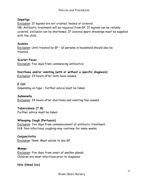#### **Impetigo**

Exclusion: If legions are not crusted, healed or covered.

NB: Antibiotic treatment will be required from GP. If legions can be reliably covered, exclusion can be shortened. If covered spare dressings must be supplied with the child.

#### **Scabies**

Exclusion: Until treated by GP – all persons in household should also be treated.

#### **Scarlet Fever**

Exclusion: five days from commencing antibiotics.

**Diarrhoea and/or vomiting (with or without a specific diagnosis)**  Exclusion: 24 hours after both have ceased.

#### **E.Coli**

Depending on type – further advice must be taken.

#### **Salmonella**

Exclusion: 24 hours after diarrhoea and vomiting has ceased.

#### **Tuberculosis (T.B)**

Further advice must be taken

#### **Whooping Cough (Pertussis)**

Exclusion: five days from commencement of antibiotic treatment. N.B. Non-infectious coughing may continue for many weeks.

#### **Conjunctivitis**

Exclusion: None. Must advise to see GP

#### **Mumps**

Exclusion: five days from onset of swollen glands Children are most infectious prior to diagnosis.

**Nits (Head lice)**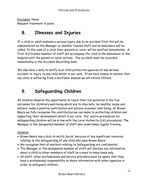Exclusion: None. Request treatment is given.

### **8. Illnesses and Injuries**

If a child or adult sustains a serious injury due to an accident First Aid will be administered by the Manager or another trained staff and an ambulance will be called. In the case of a child their parents or carer will be notified immediately. A First Aid trained member of staff will accompany the child in the ambulance to the hospital until the parent or carer arrives. The accident must be recorded immediately in the Accident Recording book.

We also have a duty to notify local child protection agencies of any serious accident or injury to any child whilst in our care. If we have reason to believe that any child is suffering from a notifiable disease we will inform Ofsted.

### **9. Safeguarding Children**

All children deserve the opportunity to reach their full potential in the five outcomes for children's well-being which are to stay safe, be healthy, enjoy and achieve, make a positive contribution and achieve economic well-being. At Brown Bears we fully recognise the contribution we can make to protecting children and supporting their development whilst in our care. Our centre procedures for safeguarding children will be in line with the Local Authority (LA) procedures. The Manager is the designated member of staff who undertakes regular training.

#### Children

- Brown Bears has a duty to notify Social Services of any significant concerns relating to the safeguarding of any child who uses Brown Bears.
- We recognise that all matters relating to Safeguarding are confidential.
- The Manager or the designated member of staff will disclose any information about a child to other members of staff on a need to know basis only.
- All staff, other professionals and service providers must be aware that they have a professional responsibility to share information with other agencies in order to safeguard children.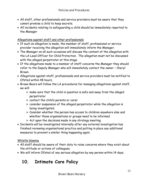- All staff, other professionals and service providers must be aware that they cannot promise a child to keep secrets.
- All incidents relating to safeguarding a child should be immediately reported to the Manager

#### Allegations against staff and other professionals

- If such an allegation is made, the member of staff, professional or service provider receiving the allegation will immediately inform the Manager.
- The Manager on all such occasions will discuss the content of the allegation with the LA Lead Officer for Child Protection. The allegation must not be discussed with the alleged perpetrator at this stage.
- If the allegations made to a member of staff concerns the Manager they should refer to the Deputy Manager who will immediately contact the owner – Cheryl Brown.
- Allegations against staff, professionals and service providers must be notified to Ofsted within 48 hours.
- Brown Bears will follow the LA procedures for managing allegations against staff, we will:
	- $\triangleright$  make sure that the child in question is safe and away from the alleged perpetrator
	- $\triangleright$  contact the child's parents or carer
	- $\triangleright$  consider suspension of the alleged perpetrator while the allegation is being investigated.
	- $\triangleright$  Consider whether the person has access to children anywhere else and whether those organisations or groups need to be informed
	- $\triangleright$  Act upon the decisions made in any strategy meeting.
- Incidents will be investigated internally after any external investigation has finished reviewing organisational practice and putting in place any additional measures to prevent a similar thing happening again.

#### Whistle blowing

- All staff should be aware of their duty to raise concerns where they exist about the attitude or actions of colleagues.
- We will inform Ofsted of any serious allegation by any person within 14 days.

### **10. Intimate Care Policy**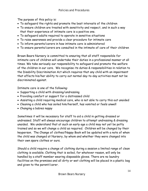The purpose of this policy is:

- To safeguard the rights and promote the best interests of the children
- To ensure children are treated with sensitivity and respect, and in such a way that their experience of intimate care is a positive one.
- To safeguard adults required to operate in sensitive situations
- To raise awareness and provide a clear procedure for intimate care
- To inform parents/carers in how intimate care is administered
- To ensure parents/carers are consulted in the intimate of care of their children

Brown Bears Nursery is committed to ensuring that all staff responsible for intimate care of children will undertake their duties in a professional manner at all times. We take seriously our responsibility to safeguard and promote the welfare of the children in our care. We recognise its duties & responsibilities in relation to the Disability Discrimination Act which requires that any child with an impairment that affects his/her ability to carry out normal day-to-day activities must not be discriminated against.

Intimate care is one of the following:

- Supporting a child with dressing/undressing
- Providing comfort or support for a distressed child
- Assisting a child requiring medical care, who is not able to carry this out unaided
- Cleaning a child who has soiled him/herself, has vomited or feels unwell
- Changing a babies nappy

Sometimes it will be necessary for staff to aid a child in getting dressed or undressed. Staff will always encourage children to attempt undressing & dressing unaided. We understand that at such an early age a child may not yet be potty trained and so we will change a child as required. Children will be changed by their keyperson. The Change of clothes/Nappy Book will be updated with a note of when the child was changed at Nursery, by whom and whether they were changed into their own spare clothes or ours.

Should a child require a change of clothing during a session a limited range of clean clothing is available. Clothing that is soiled, for whatever reason, will only be handled by a staff member wearing disposable gloves. There are no laundry facilities on the premises and all dirty or wet clothing will be placed in a plastic bag and given to the parent/carer.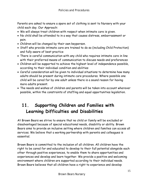Parents are asked to ensure a spare set of clothing is sent to Nursery with your child each day. Our Approach:

- We will always treat children with respect when intimate care is given.
- No child shall be attended to in a way that causes distress, embarrassment or pain.
- Children will be changed by their own keyperson.
- Staff who provide intimate care are trained to do so (including Child Protection) and fully aware of best practice
- There is careful communication with any child who requires intimate care in line with their preferred means of communication to discuss needs and preferences
- Children will be supported to achieve the highest level of independence possible, according to their individual condition and abilities
- Careful consideration will be given to individual situations to determine how many adults should be present during intimate care procedures. Where possible one child will be cared for by one adult unless there is a sound reason for having more adults present.
- The needs and wishes of children and parents will be taken into account wherever possible, within the constraints of staffing and equal opportunities legislation.

### **11. Supporting Children and Families with Learning Difficulties and Disabilities**

At Brown Bears we strive to ensure that no child or family will be excluded or disadvantaged because of special educational needs, disability or ability. Brown Bears aims to provide an inclusive setting where children and families can access all services. We believe that a working partnership with parents and colleagues is essential.

Brown Bears is committed to the inclusion of all children. All children have the right to be cared for and educated to develop to their full potential alongside each other through positive experiences, to enable them to share opportunities and experiences and develop and learn together. We provide a positive and welcoming environment where children are supported according to their individual needs. Brown Bears believes that all children have a right to experience and develop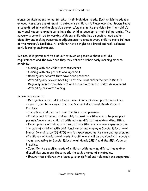alongside their peers no matter what their individual needs. Each child's needs are unique, therefore any attempt to categorise children is inappropriate. Brown Bears is committed to working alongside parents/carers in the provision for their child's individual needs to enable us to help the child to develop to their full potential. The nursery is committed to working with any child who has a specific need and/or disability and making reasonable adjustments to enable every child to make full use of the nursery's facilities. All children have a right to a broad and well-balanced early learning environment.

We feel it is paramount to find out as much as possible about a child's requirements and the way that they may affect his/her early learning or care needs by:

- Liaising with the child's parents/carers
- Liaising with any professional agencies
- Reading any reports that have been prepared
- Attending any review meetings with the local authority/professionals
- Regularly monitoring observations carried out on the child's development
- Attending relevant training.

Brown Bears aim to:

• Recognise each child's individual needs and ensure all practitioners are aware of, and have regard for, the Special Educational Needs Code of Practice.

• Include all children and their families in our provision.

• Provide well informed and suitably trained practitioners to help support parents/carers and children with learning difficulties and/or disabilities.

• Develop and maintain a core team of practitioners who are experienced in the care of children with additional needs and employ a Special Educational Needs Co-ordinator (SENCO) who is experienced in the care and assessment of children with additional needs. Practitioners will be provided with specific training relating to Special Educational Needs (SEN) and the SEN Code of Practice.

• Identify the specific needs of children with learning difficulties and/or disabilities and meet those needs through a range of strategies.

• Ensure that children who learn quicker (gifted and talented) are supported.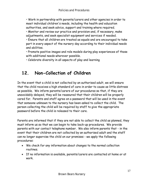• Work in partnership with parents/carers and other agencies in order to meet individual children's needs, including the health and education authorities, and seek advice, support and training where required.

• Monitor and review our practice and provision and, if necessary, make adjustments, and seek specialist equipment and services if needed.

• Ensure that all children are treated as equals and are encouraged to take part in every aspect of the nursery day according to their individual needs and abilities.

• Promote positive images and role models during play experiences of those with additional needs wherever possible.

• Celebrate diversity in all aspects of play and learning

### **12. Non-Collection of Children**

In the event that a child is not collected by an authorised adult, we will ensure that the child receives a high standard of care in order to cause as little distress as possible. We inform parents/carers of our procedures so that, if they are unavoidably delayed, they will be reassured that their children will be properly cared for. Parents and staff agree on a password that will be used in the event that someone unknown to the nursery has been asked to collect the child. The person collecting the child will be required by staff to give the appropriate password before the child is released to their care.

Parents are informed that if they are not able to collect the child as planned, they must inform us so that we can begin to take back-up procedures. We provide parents with our contact telephone number. We also inform parents that - in the event that their children are not collected by an authorised adult and the staff can no longer supervise the child on our premises - we apply the following procedures:

- We check for any information about changes to the normal collection routines.
- If no information is available, parents/carers are contacted at home or at work.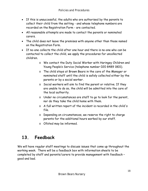- If this is unsuccessful, the adults who are authorised by the parents to collect their child from the setting - and whose telephone numbers are recorded on the Registration Form - are contacted.
- All reasonable attempts are made to contact the parents or nominated carers.
- The child does not leave the premises with anyone other than those named on the Registration Form.
- If no-one collects the child after one hour and there is no-one who can be contacted to collect the child, we apply the procedures for uncollected children.
	- o We contact the Duty Social Worker with Haringey Children and Young People's Service (telephone number 020 8489 1801).
	- o The child stays at Brown Bears in the care of the Manager or nominated staff until the child is safely collected either by the parents or by a social worker.
	- o Social workers will aim to find the parent or relative. If they are unable to do so, the child will be admitted into the care of the local authority.
	- o Under no circumstances are staff to go to look for the parent, nor do they take the child home with them.
	- o A full written report of the incident is recorded in the child's file.
	- o Depending on circumstances, we reserve the right to charge parents for the additional hours worked by our staff.
	- o Ofsted may be informed.

### **13. Feedback**

We will have regular staff meetings to discuss issues that come up throughout the working week. There will be a feedback box with information sheets to be completed by staff and parents/carers to provide management with feedback – good and bad.